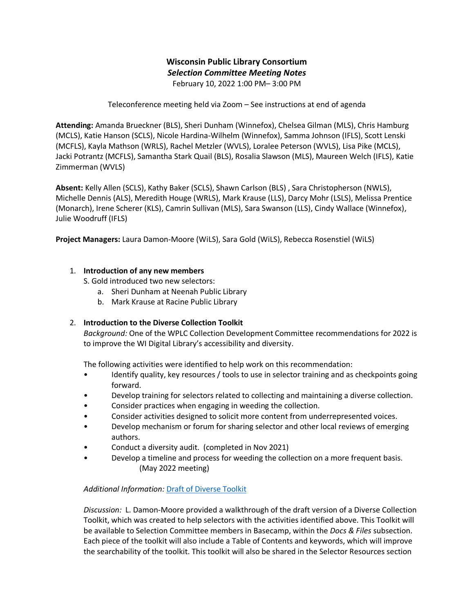# **Wisconsin Public Library Consortium** *Selection Committee Meeting Notes* February 10, 2022 1:00 PM– 3:00 PM

Teleconference meeting held via Zoom – See instructions at end of agenda

**Attending:** Amanda Brueckner (BLS), Sheri Dunham (Winnefox), Chelsea Gilman (MLS), Chris Hamburg (MCLS), Katie Hanson (SCLS), Nicole Hardina-Wilhelm (Winnefox), Samma Johnson (IFLS), Scott Lenski (MCFLS), Kayla Mathson (WRLS), Rachel Metzler (WVLS), Loralee Peterson (WVLS), Lisa Pike (MCLS), Jacki Potrantz (MCFLS), Samantha Stark Quail (BLS), Rosalia Slawson (MLS), Maureen Welch (IFLS), Katie Zimmerman (WVLS)

**Absent:** Kelly Allen (SCLS), Kathy Baker (SCLS), Shawn Carlson (BLS) , Sara Christopherson (NWLS), Michelle Dennis (ALS), Meredith Houge (WRLS), Mark Krause (LLS), Darcy Mohr (LSLS), Melissa Prentice (Monarch), Irene Scherer (KLS), Camrin Sullivan (MLS), Sara Swanson (LLS), Cindy Wallace (Winnefox), Julie Woodruff (IFLS)

**Project Managers:** Laura Damon-Moore (WiLS), Sara Gold (WiLS), Rebecca Rosenstiel (WiLS)

## 1. **Introduction of any new members**

S. Gold introduced two new selectors:

- a. Sheri Dunham at Neenah Public Library
- b. Mark Krause at Racine Public Library

## 2. **Introduction to the Diverse Collection Toolkit**

*Background:* One of the WPLC Collection Development Committee recommendations for 2022 is to improve the WI Digital Library's accessibility and diversity.

The following activities were identified to help work on this recommendation:

- Identify quality, key resources / tools to use in selector training and as checkpoints going forward.
- Develop training for selectors related to collecting and maintaining a diverse collection.
- Consider practices when engaging in weeding the collection.
- Consider activities designed to solicit more content from underrepresented voices.
- Develop mechanism or forum for sharing selector and other local reviews of emerging authors.
- Conduct a diversity audit. (completed in Nov 2021)
- Develop a timeline and process for weeding the collection on a more frequent basis. (May 2022 meeting)

## *Additional Information:* [Draft of Diverse Toolkit](https://3.basecamp.com/3592820/buckets/10871538/documents/4625262896)

*Discussion:* L. Damon-Moore provided a walkthrough of the draft version of a Diverse Collection Toolkit, which was created to help selectors with the activities identified above. This Toolkit will be available to Selection Committee members in Basecamp, within the *Docs & Files* subsection. Each piece of the toolkit will also include a Table of Contents and keywords, which will improve the searchability of the toolkit. This toolkit will also be shared in the Selector Resources section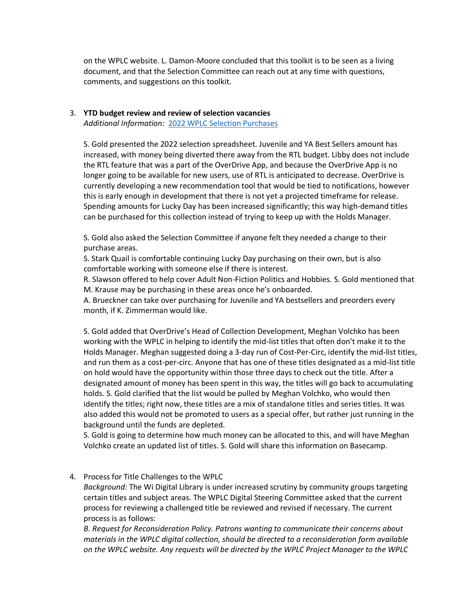on the WPLC website. L. Damon-Moore concluded that this toolkit is to be seen as a living document, and that the Selection Committee can reach out at any time with questions, comments, and suggestions on this toolkit.

### 3. **YTD budget review and review of selection vacancies**  *Additional Information:* [2022 WPLC Selection Purchases](https://docs.google.com/spreadsheets/d/1JrMVkkqpYaA-1jjK10jzn3_hzxhgKVrIqRKBNhZzEhk/edit#gid=507359908)

S. Gold presented the 2022 selection spreadsheet. Juvenile and YA Best Sellers amount has increased, with money being diverted there away from the RTL budget. Libby does not include the RTL feature that was a part of the OverDrive App, and because the OverDrive App is no longer going to be available for new users, use of RTL is anticipated to decrease. OverDrive is currently developing a new recommendation tool that would be tied to notifications, however this is early enough in development that there is not yet a projected timeframe for release. Spending amounts for Lucky Day has been increased significantly; this way high-demand titles can be purchased for this collection instead of trying to keep up with the Holds Manager.

S. Gold also asked the Selection Committee if anyone felt they needed a change to their purchase areas.

S. Stark Quail is comfortable continuing Lucky Day purchasing on their own, but is also comfortable working with someone else if there is interest.

R. Slawson offered to help cover Adult Non-Fiction Politics and Hobbies. S. Gold mentioned that M. Krause may be purchasing in these areas once he's onboarded.

A. Brueckner can take over purchasing for Juvenile and YA bestsellers and preorders every month, if K. Zimmerman would like.

S. Gold added that OverDrive's Head of Collection Development, Meghan Volchko has been working with the WPLC in helping to identify the mid-list titles that often don't make it to the Holds Manager. Meghan suggested doing a 3-day run of Cost-Per-Circ, identify the mid-list titles, and run them as a cost-per-circ. Anyone that has one of these titles designated as a mid-list title on hold would have the opportunity within those three days to check out the title. After a designated amount of money has been spent in this way, the titles will go back to accumulating holds. S. Gold clarified that the list would be pulled by Meghan Volchko, who would then identify the titles; right now, these titles are a mix of standalone titles and series titles. It was also added this would not be promoted to users as a special offer, but rather just running in the background until the funds are depleted.

S. Gold is going to determine how much money can be allocated to this, and will have Meghan Volchko create an updated list of titles. S. Gold will share this information on Basecamp.

## 4. Process for Title Challenges to the WPLC

*Background:* The Wi Digital Library is under increased scrutiny by community groups targeting certain titles and subject areas. The WPLC Digital Steering Committee asked that the current process for reviewing a challenged title be reviewed and revised if necessary. The current process is as follows:

*B. Request for Reconsideration Policy. Patrons wanting to communicate their concerns about materials in the WPLC digital collection, should be directed to a reconsideration form available on the WPLC website. Any requests will be directed by the WPLC Project Manager to the WPLC*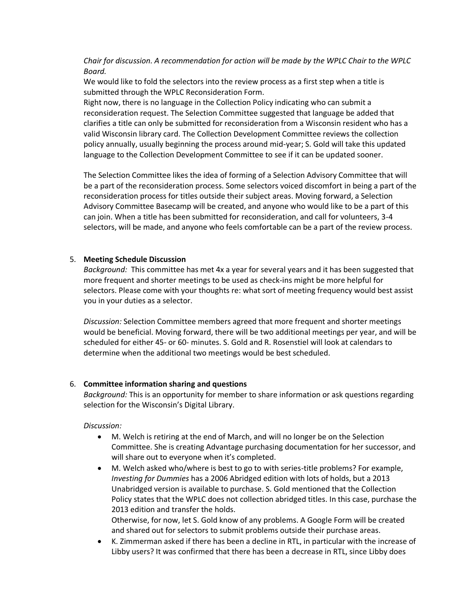*Chair for discussion. A recommendation for action will be made by the WPLC Chair to the WPLC Board.*

We would like to fold the selectors into the review process as a first step when a title is submitted through the WPLC Reconsideration Form.

Right now, there is no language in the Collection Policy indicating who can submit a reconsideration request. The Selection Committee suggested that language be added that clarifies a title can only be submitted for reconsideration from a Wisconsin resident who has a valid Wisconsin library card. The Collection Development Committee reviews the collection policy annually, usually beginning the process around mid-year; S. Gold will take this updated language to the Collection Development Committee to see if it can be updated sooner.

The Selection Committee likes the idea of forming of a Selection Advisory Committee that will be a part of the reconsideration process. Some selectors voiced discomfort in being a part of the reconsideration process for titles outside their subject areas. Moving forward, a Selection Advisory Committee Basecamp will be created, and anyone who would like to be a part of this can join. When a title has been submitted for reconsideration, and call for volunteers, 3-4 selectors, will be made, and anyone who feels comfortable can be a part of the review process.

## 5. **Meeting Schedule Discussion**

*Background:* This committee has met 4x a year for several years and it has been suggested that more frequent and shorter meetings to be used as check-ins might be more helpful for selectors. Please come with your thoughts re: what sort of meeting frequency would best assist you in your duties as a selector.

*Discussion:* Selection Committee members agreed that more frequent and shorter meetings would be beneficial. Moving forward, there will be two additional meetings per year, and will be scheduled for either 45- or 60- minutes. S. Gold and R. Rosenstiel will look at calendars to determine when the additional two meetings would be best scheduled.

#### 6. **Committee information sharing and questions**

*Background:* This is an opportunity for member to share information or ask questions regarding selection for the Wisconsin's Digital Library.

*Discussion:*

- M. Welch is retiring at the end of March, and will no longer be on the Selection Committee. She is creating Advantage purchasing documentation for her successor, and will share out to everyone when it's completed.
- M. Welch asked who/where is best to go to with series-title problems? For example, *Investing for Dummies* has a 2006 Abridged edition with lots of holds, but a 2013 Unabridged version is available to purchase. S. Gold mentioned that the Collection Policy states that the WPLC does not collection abridged titles. In this case, purchase the 2013 edition and transfer the holds. Otherwise, for now, let S. Gold know of any problems. A Google Form will be created

and shared out for selectors to submit problems outside their purchase areas.

 K. Zimmerman asked if there has been a decline in RTL, in particular with the increase of Libby users? It was confirmed that there has been a decrease in RTL, since Libby does